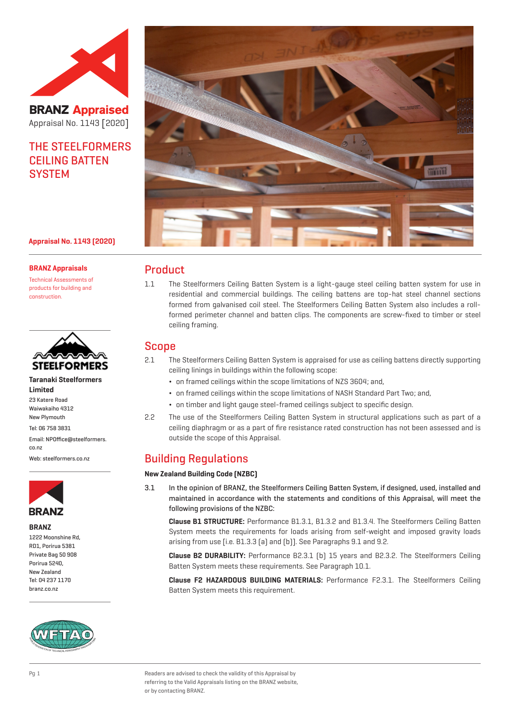

**BRANZ Appraised** Appraisal No. 1143 [2020]

# THE STEELFORMERS CEILING BATTEN **SYSTEM**

#### **Appraisal No. 1143 (2020)**

#### **BRANZ Appraisals**

Technical Assessments of products for building and construction.



**Taranaki Steelformers Limited** 23 Katere Road Waiwakaiho 4312 New Plymouth Tel: 06 758 3831 Email: NPOffice@steelformers. co.nz

Web: steelformers.co.nz



**BRANZ**

1222 Moonshine Rd, RD1, Porirua 5381 Private Bag 50 908 Porirua 5240, New Zealand Tel: 04 237 1170 branz.co.nz





## Product

1.1 The Steelformers Ceiling Batten System is a light-gauge steel ceiling batten system for use in residential and commercial buildings. The ceiling battens are top-hat steel channel sections formed from galvanised coil steel. The Steelformers Ceiling Batten System also includes a rollformed perimeter channel and batten clips. The components are screw-fixed to timber or steel ceiling framing.

## Scope

- 2.1 The Steelformers Ceiling Batten System is appraised for use as ceiling battens directly supporting ceiling linings in buildings within the following scope:
	- ¬ on framed ceilings within the scope limitations of NZS 3604; and,
	- ¬ on framed ceilings within the scope limitations of NASH Standard Part Two; and,
	- ¬ on timber and light gauge steel-framed ceilings subject to specific design.
- 2.2 The use of the Steelformers Ceiling Batten System in structural applications such as part of a ceiling diaphragm or as a part of fire resistance rated construction has not been assessed and is outside the scope of this Appraisal.

## Building Regulations

#### **New Zealand Building Code (NZBC)**

3.1 In the opinion of BRANZ, the Steelformers Ceiling Batten System, if designed, used, installed and maintained in accordance with the statements and conditions of this Appraisal, will meet the following provisions of the NZBC:

**Clause B1 STRUCTURE:** Performance B1.3.1, B1.3.2 and B1.3.4. The Steelformers Ceiling Batten System meets the requirements for loads arising from self-weight and imposed gravity loads arising from use [i.e. B1.3.3 (a) and (b)]. See Paragraphs 9.1 and 9.2.

**Clause B2 DURABILITY:** Performance B2.3.1 (b) 15 years and B2.3.2. The Steelformers Ceiling Batten System meets these requirements. See Paragraph 10.1.

**Clause F2 HAZARDOUS BUILDING MATERIALS:** Performance F2.3.1. The Steelformers Ceiling Batten System meets this requirement.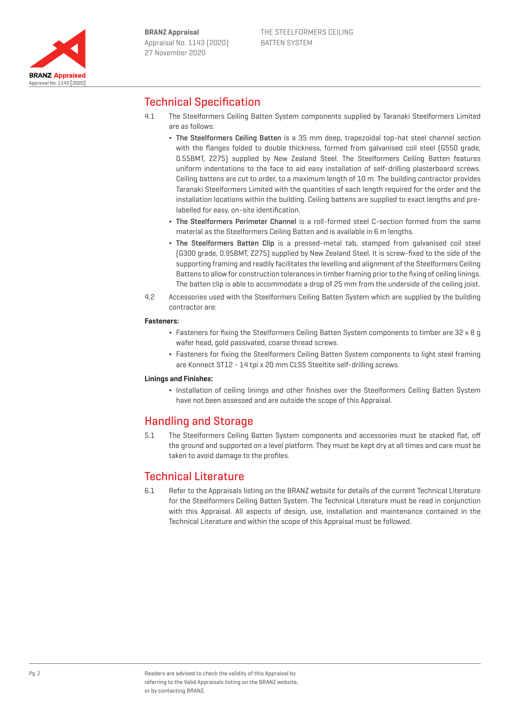

# Technical Specification

- 4.1 The Steelformers Ceiling Batten System components supplied by Taranaki Steelformers Limited are as follows:
	- ¬ The Steelformers Ceiling Batten is a 35 mm deep, trapezoidal top-hat steel channel section with the flanges folded to double thickness, formed from galvanised coil steel (G550 grade, 0.55BMT, Z275) supplied by New Zealand Steel. The Steelformers Ceiling Batten features uniform indentations to the face to aid easy installation of self-drilling plasterboard screws. Ceiling battens are cut to order, to a maximum length of 10 m. The building contractor provides Taranaki Steelformers Limited with the quantities of each length required for the order and the installation locations within the building. Ceiling battens are supplied to exact lengths and prelabelled for easy, on-site identification.
	- The Steelformers Perimeter Channel is a roll-formed steel C-section formed from the same material as the Steelformers Ceiling Batten and is available in 6 m lengths.
	- The Steelformers Batten Clip is a pressed-metal tab, stamped from galvanised coil steel (G300 grade, 0.95BMT, Z275) supplied by New Zealand Steel. It is screw-fixed to the side of the supporting framing and readily facilitates the levelling and alignment of the Steelformers Ceiling Battens to allow for construction tolerances in timber framing prior to the fixing of ceiling linings. The batten clip is able to accommodate a drop of 25 mm from the underside of the ceiling joist.
- 4.2 Accessories used with the Steelformers Ceiling Batten System which are supplied by the building contractor are:

#### **Fasteners:**

- ¬ Fasteners for fixing the Steelformers Ceiling Batten System components to timber are 32 x 8 g wafer head, gold passivated, coarse thread screws.
- ¬ Fasteners for fixing the Steelformers Ceiling Batten System components to light steel framing are Konnect ST12 - 14 tpi x 20 mm CLS5 Steeltite self-drilling screws.

#### **Linings and Finishes:**

¬ Installation of ceiling linings and other finishes over the Steelformers Ceiling Batten System have not been assessed and are outside the scope of this Appraisal.

## Handling and Storage

5.1 The Steelformers Ceiling Batten System components and accessories must be stacked flat, off the ground and supported on a level platform. They must be kept dry at all times and care must be taken to avoid damage to the profiles.

# Technical Literature

6.1 Refer to the Appraisals listing on the BRANZ website for details of the current Technical Literature for the Steelformers Ceiling Batten System. The Technical Literature must be read in conjunction with this Appraisal. All aspects of design, use, installation and maintenance contained in the Technical Literature and within the scope of this Appraisal must be followed.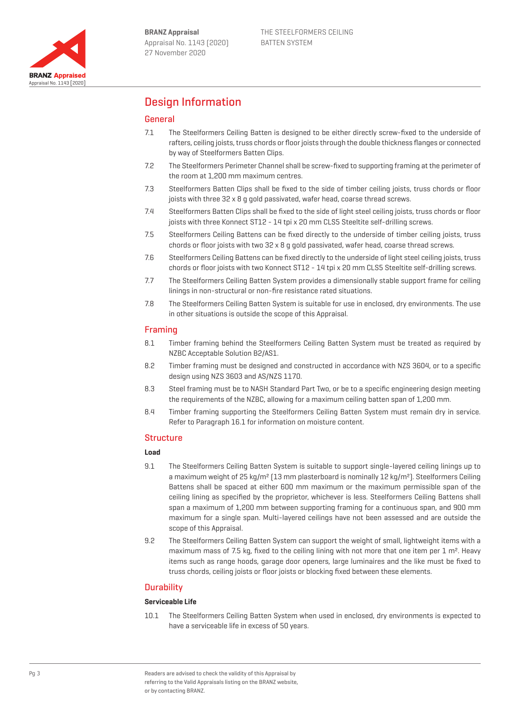

# Design Information

## General

- 7.1 The Steelformers Ceiling Batten is designed to be either directly screw-fixed to the underside of rafters, ceiling joists, truss chords or floor joists through the double thickness flanges or connected by way of Steelformers Batten Clips.
- 7.2 The Steelformers Perimeter Channel shall be screw-fixed to supporting framing at the perimeter of the room at 1,200 mm maximum centres.
- 7.3 Steelformers Batten Clips shall be fixed to the side of timber ceiling joists, truss chords or floor joists with three 32 x 8 g gold passivated, wafer head, coarse thread screws.
- 7.4 Steelformers Batten Clips shall be fixed to the side of light steel ceiling joists, truss chords or floor joists with three Konnect ST12 - 14 tpi x 20 mm CLS5 Steeltite self-drilling screws.
- 7.5 Steelformers Ceiling Battens can be fixed directly to the underside of timber ceiling joists, truss chords or floor joists with two 32 x 8 g gold passivated, wafer head, coarse thread screws.
- 7.6 Steelformers Ceiling Battens can be fixed directly to the underside of light steel ceiling joists, truss chords or floor joists with two Konnect ST12 - 14 tpi x 20 mm CLS5 Steeltite self-drilling screws.
- 7.7 The Steelformers Ceiling Batten System provides a dimensionally stable support frame for ceiling linings in non-structural or non-fire resistance rated situations.
- 7.8 The Steelformers Ceiling Batten System is suitable for use in enclosed, dry environments. The use in other situations is outside the scope of this Appraisal.

### Framing

- 8.1 Timber framing behind the Steelformers Ceiling Batten System must be treated as required by NZBC Acceptable Solution B2/AS1.
- 8.2 Timber framing must be designed and constructed in accordance with NZS 3604, or to a specific design using NZS 3603 and AS/NZS 1170.
- 8.3 Steel framing must be to NASH Standard Part Two, or be to a specific engineering design meeting the requirements of the NZBC, allowing for a maximum ceiling batten span of 1,200 mm.
- 8.4 Timber framing supporting the Steelformers Ceiling Batten System must remain dry in service. Refer to Paragraph 16.1 for information on moisture content.

### Structure

### **Load**

- 9.1 The Steelformers Ceiling Batten System is suitable to support single-layered ceiling linings up to a maximum weight of 25 kg/m<sup>2</sup> [13 mm plasterboard is nominally 12 kg/m<sup>2</sup>]. Steelformers Ceiling Battens shall be spaced at either 600 mm maximum or the maximum permissible span of the ceiling lining as specified by the proprietor, whichever is less. Steelformers Ceiling Battens shall span a maximum of 1,200 mm between supporting framing for a continuous span, and 900 mm maximum for a single span. Multi-layered ceilings have not been assessed and are outside the scope of this Appraisal.
- 9.2 The Steelformers Ceiling Batten System can support the weight of small, lightweight items with a maximum mass of 7.5 kg, fixed to the ceiling lining with not more that one item per  $1 \text{ m}^2$ . Heavy items such as range hoods, garage door openers, large luminaires and the like must be fixed to truss chords, ceiling joists or floor joists or blocking fixed between these elements.

## **Durability**

### **Serviceable Life**

10.1 The Steelformers Ceiling Batten System when used in enclosed, dry environments is expected to have a serviceable life in excess of 50 years.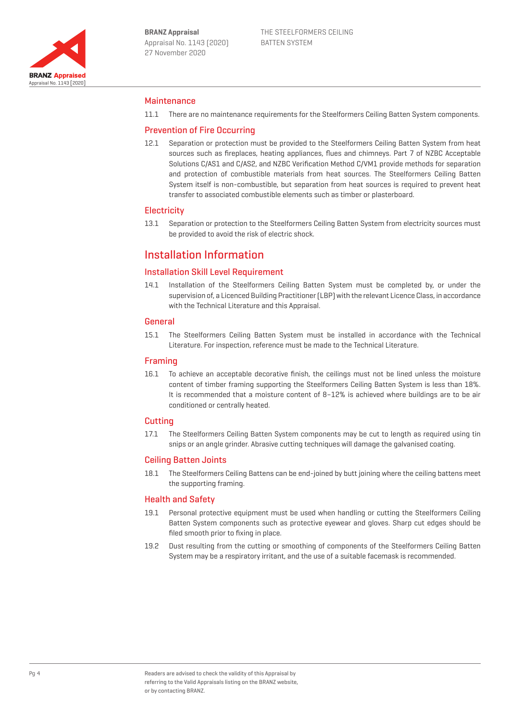

### Maintenance

11.1 There are no maintenance requirements for the Steelformers Ceiling Batten System components.

### Prevention of Fire Occurring

12.1 Separation or protection must be provided to the Steelformers Ceiling Batten System from heat sources such as fireplaces, heating appliances, flues and chimneys. Part 7 of NZBC Acceptable Solutions C/AS1 and C/AS2, and NZBC Verification Method C/VM1 provide methods for separation and protection of combustible materials from heat sources. The Steelformers Ceiling Batten System itself is non-combustible, but separation from heat sources is required to prevent heat transfer to associated combustible elements such as timber or plasterboard.

#### **Electricity**

13.1 Separation or protection to the Steelformers Ceiling Batten System from electricity sources must be provided to avoid the risk of electric shock.

## Installation Information

## Installation Skill Level Requirement

14.1 Installation of the Steelformers Ceiling Batten System must be completed by, or under the supervision of, a Licenced Building Practitioner (LBP) with the relevant Licence Class, in accordance with the Technical Literature and this Appraisal.

#### General

15.1 The Steelformers Ceiling Batten System must be installed in accordance with the Technical Literature. For inspection, reference must be made to the Technical Literature.

### Framing

16.1 To achieve an acceptable decorative finish, the ceilings must not be lined unless the moisture content of timber framing supporting the Steelformers Ceiling Batten System is less than 18%. It is recommended that a moisture content of 8-12% is achieved where buildings are to be air conditioned or centrally heated.

### Cutting

17.1 The Steelformers Ceiling Batten System components may be cut to length as required using tin snips or an angle grinder. Abrasive cutting techniques will damage the galvanised coating.

### Ceiling Batten Joints

18.1 The Steelformers Ceiling Battens can be end-joined by butt joining where the ceiling battens meet the supporting framing.

### Health and Safety

- 19.1 Personal protective equipment must be used when handling or cutting the Steelformers Ceiling Batten System components such as protective eyewear and gloves. Sharp cut edges should be filed smooth prior to fixing in place.
- 19.2 Dust resulting from the cutting or smoothing of components of the Steelformers Ceiling Batten System may be a respiratory irritant, and the use of a suitable facemask is recommended.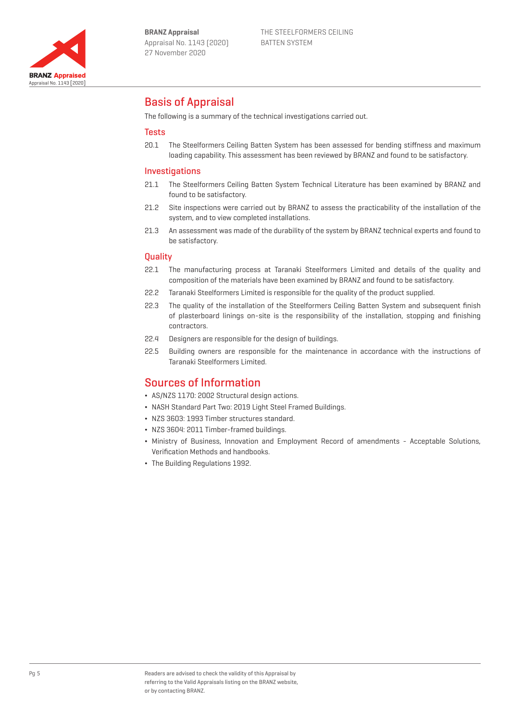

# Basis of Appraisal

The following is a summary of the technical investigations carried out.

### **Tests**

20.1 The Steelformers Ceiling Batten System has been assessed for bending stiffness and maximum loading capability. This assessment has been reviewed by BRANZ and found to be satisfactory.

#### Investigations

- 21.1 The Steelformers Ceiling Batten System Technical Literature has been examined by BRANZ and found to be satisfactory.
- 21.2 Site inspections were carried out by BRANZ to assess the practicability of the installation of the system, and to view completed installations.
- 21.3 An assessment was made of the durability of the system by BRANZ technical experts and found to be satisfactory.

#### **Quality**

- 22.1 The manufacturing process at Taranaki Steelformers Limited and details of the quality and composition of the materials have been examined by BRANZ and found to be satisfactory.
- 22.2 Taranaki Steelformers Limited is responsible for the quality of the product supplied.
- 22.3 The quality of the installation of the Steelformers Ceiling Batten System and subsequent finish of plasterboard linings on-site is the responsibility of the installation, stopping and finishing contractors.
- 22.4 Designers are responsible for the design of buildings.
- 22.5 Building owners are responsible for the maintenance in accordance with the instructions of Taranaki Steelformers Limited.

## Sources of Information

- ¬ AS/NZS 1170: 2002 Structural design actions.
- ¬ NASH Standard Part Two: 2019 Light Steel Framed Buildings.
- ¬ NZS 3603: 1993 Timber structures standard.
- ¬ NZS 3604: 2011 Timber-framed buildings.
- ¬ Ministry of Business, Innovation and Employment Record of amendments Acceptable Solutions, Verification Methods and handbooks.
- ¬ The Building Regulations 1992.